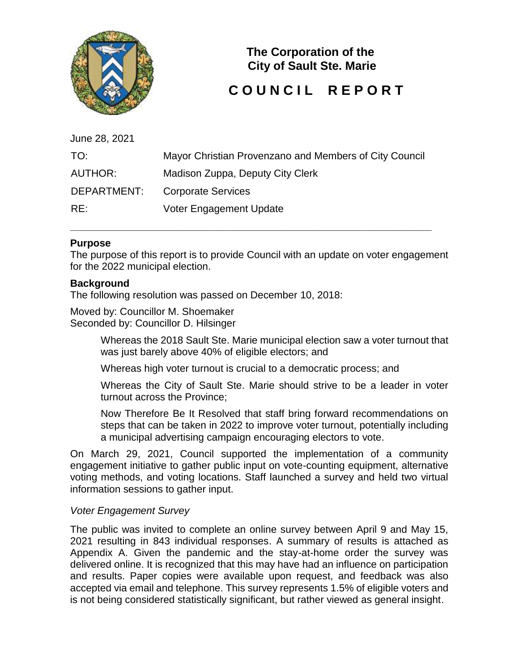

**The Corporation of the City of Sault Ste. Marie** 

# **COUNCIL REPORT**

| June 28, 2021 |                                                        |
|---------------|--------------------------------------------------------|
| TO:           | Mayor Christian Provenzano and Members of City Council |
| AUTHOR:       | Madison Zuppa, Deputy City Clerk                       |
| DEPARTMENT:   | <b>Corporate Services</b>                              |
| RE:           | Voter Engagement Update                                |

**\_\_\_\_\_\_\_\_\_\_\_\_\_\_\_\_\_\_\_\_\_\_\_\_\_\_\_\_\_\_\_\_\_\_\_\_\_\_\_\_\_\_\_\_\_\_\_\_\_\_\_\_\_\_\_\_\_\_\_\_\_\_\_\_** 

# **Purpose**

The purpose of this report is to provide Council with an update on voter engagement for the 2022 municipal election.

#### **Background**

The following resolution was passed on December 10, 2018:

Moved by: Councillor M. Shoemaker Seconded by: Councillor D. Hilsinger

> Whereas the 2018 Sault Ste. Marie municipal election saw a voter turnout that was just barely above 40% of eligible electors; and

Whereas high voter turnout is crucial to a democratic process; and

Whereas the City of Sault Ste. Marie should strive to be a leader in voter turnout across the Province;

Now Therefore Be It Resolved that staff bring forward recommendations on steps that can be taken in 2022 to improve voter turnout, potentially including a municipal advertising campaign encouraging electors to vote.

On March 29, 2021, Council supported the implementation of a community engagement initiative to gather public input on vote-counting equipment, alternative voting methods, and voting locations. Staff launched a survey and held two virtual information sessions to gather input.

#### *Voter Engagement Survey*

The public was invited to complete an online survey between April 9 and May 15, 2021 resulting in 843 individual responses. A summary of results is attached as Appendix A. Given the pandemic and the stay-at-home order the survey was delivered online. It is recognized that this may have had an influence on participation and results. Paper copies were available upon request, and feedback was also accepted via email and telephone. This survey represents 1.5% of eligible voters and is not being considered statistically significant, but rather viewed as general insight.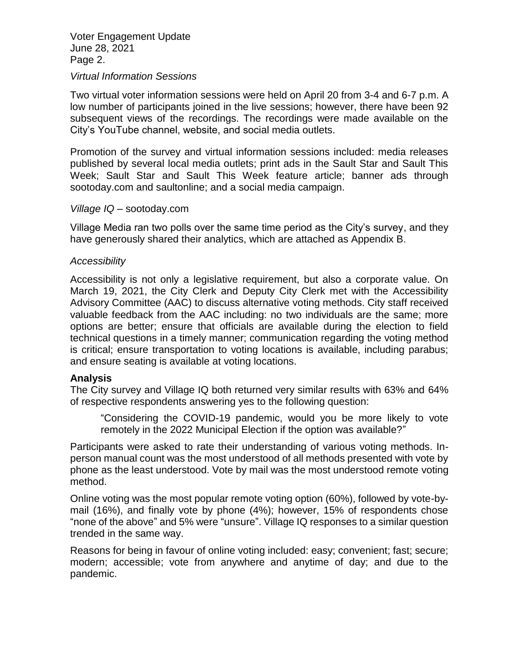Voter Engagement Update June 28, 2021 Page 2.

#### *Virtual Information Sessions*

Two virtual voter information sessions were held on April 20 from 3-4 and 6-7 p.m. A low number of participants joined in the live sessions; however, there have been 92 subsequent views of the recordings. The recordings were made available on the City's YouTube channel, website, and social media outlets.

Promotion of the survey and virtual information sessions included: media releases published by several local media outlets; print ads in the Sault Star and Sault This Week; Sault Star and Sault This Week feature article; banner ads through sootoday.com and saultonline; and a social media campaign.

#### *Village IQ –* sootoday.com

Village Media ran two polls over the same time period as the City's survey, and they have generously shared their analytics, which are attached as Appendix B.

#### *Accessibility*

Accessibility is not only a legislative requirement, but also a corporate value. On March 19, 2021, the City Clerk and Deputy City Clerk met with the Accessibility Advisory Committee (AAC) to discuss alternative voting methods. City staff received valuable feedback from the AAC including: no two individuals are the same; more options are better; ensure that officials are available during the election to field technical questions in a timely manner; communication regarding the voting method is critical; ensure transportation to voting locations is available, including parabus; and ensure seating is available at voting locations.

#### **Analysis**

The City survey and Village IQ both returned very similar results with 63% and 64% of respective respondents answering yes to the following question:

"Considering the COVID-19 pandemic, would you be more likely to vote remotely in the 2022 Municipal Election if the option was available?"

Participants were asked to rate their understanding of various voting methods. Inperson manual count was the most understood of all methods presented with vote by phone as the least understood. Vote by mail was the most understood remote voting method.

Online voting was the most popular remote voting option (60%), followed by vote-bymail (16%), and finally vote by phone (4%); however, 15% of respondents chose "none of the above" and 5% were "unsure". Village IQ responses to a similar question trended in the same way.

Reasons for being in favour of online voting included: easy; convenient; fast; secure; modern; accessible; vote from anywhere and anytime of day; and due to the pandemic.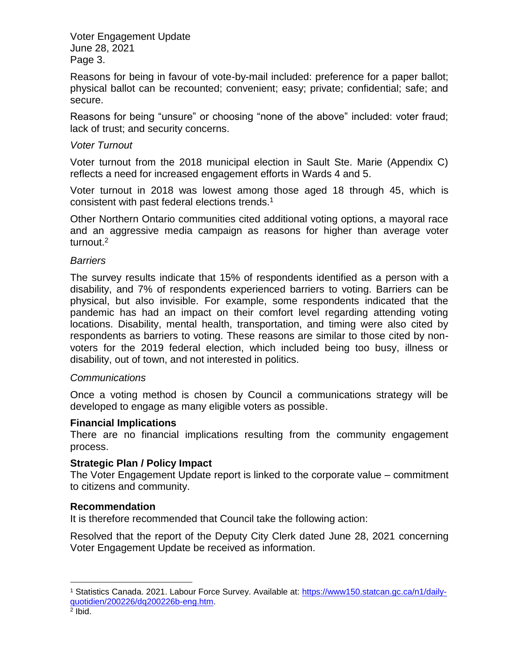Voter Engagement Update June 28, 2021 Page 3.

Reasons for being in favour of vote-by-mail included: preference for a paper ballot; physical ballot can be recounted; convenient; easy; private; confidential; safe; and secure.

Reasons for being "unsure" or choosing "none of the above" included: voter fraud; lack of trust; and security concerns.

## *Voter Turnout*

Voter turnout from the 2018 municipal election in Sault Ste. Marie (Appendix C) reflects a need for increased engagement efforts in Wards 4 and 5.

Voter turnout in 2018 was lowest among those aged 18 through 45, which is consistent with past federal elections trends.<sup>1</sup>

Other Northern Ontario communities cited additional voting options, a mayoral race and an aggressive media campaign as reasons for higher than average voter turnout.<sup>2</sup>

## *Barriers*

The survey results indicate that 15% of respondents identified as a person with a disability, and 7% of respondents experienced barriers to voting. Barriers can be physical, but also invisible. For example, some respondents indicated that the pandemic has had an impact on their comfort level regarding attending voting locations. Disability, mental health, transportation, and timing were also cited by respondents as barriers to voting. These reasons are similar to those cited by nonvoters for the 2019 federal election, which included being too busy, illness or disability, out of town, and not interested in politics.

# *Communications*

Once a voting method is chosen by Council a communications strategy will be developed to engage as many eligible voters as possible.

#### **Financial Implications**

There are no financial implications resulting from the community engagement process.

#### **Strategic Plan / Policy Impact**

The Voter Engagement Update report is linked to the corporate value – commitment to citizens and community.

# **Recommendation**

It is therefore recommended that Council take the following action:

Resolved that the report of the Deputy City Clerk dated June 28, 2021 concerning Voter Engagement Update be received as information.

l

<sup>&</sup>lt;sup>1</sup> Statistics Canada. 2021. Labour Force Survey. Available at: [https://www150.statcan.gc.ca/n1/daily](https://www150.statcan.gc.ca/n1/daily-quotidien/200226/dq200226b-eng.htm)[quotidien/200226/dq200226b-eng.htm.](https://www150.statcan.gc.ca/n1/daily-quotidien/200226/dq200226b-eng.htm)

<sup>2</sup> Ibid.